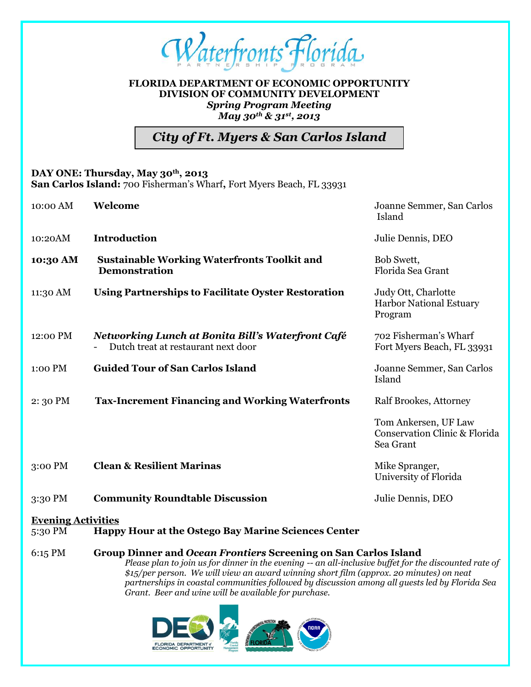

# **FLORIDA DEPARTMENT OF ECONOMIC OPPORTUNITY DIVISION OF COMMUNITY DEVELOPMENT** *Spring Program Meeting May 30th & 31st, 2013*

*City of Ft. Myers & San Carlos Island*

## **DAY ONE: Thursday, May 30th, 2013**

**San Carlos Island:** 700 Fisherman's Wharf**,** Fort Myers Beach, FL 33931

| 10:00 AM  | Welcome                                                                                  | Joanne Semmer, San Carlos<br>Island                                           |
|-----------|------------------------------------------------------------------------------------------|-------------------------------------------------------------------------------|
| 10:20AM   | <b>Introduction</b>                                                                      | Julie Dennis, DEO                                                             |
| 10:30 AM  | <b>Sustainable Working Waterfronts Toolkit and</b><br><b>Demonstration</b>               | Bob Swett,<br>Florida Sea Grant                                               |
| 11:30 AM  | <b>Using Partnerships to Facilitate Oyster Restoration</b>                               | Judy Ott, Charlotte<br><b>Harbor National Estuary</b><br>Program              |
| 12:00 PM  | Networking Lunch at Bonita Bill's Waterfront Café<br>Dutch treat at restaurant next door | 702 Fisherman's Wharf<br>Fort Myers Beach, FL 33931                           |
| 1:00 PM   | <b>Guided Tour of San Carlos Island</b>                                                  | Joanne Semmer, San Carlos<br>Island                                           |
| 2:30 PM   | <b>Tax-Increment Financing and Working Waterfronts</b>                                   | Ralf Brookes, Attorney                                                        |
|           |                                                                                          | Tom Ankersen, UF Law<br><b>Conservation Clinic &amp; Florida</b><br>Sea Grant |
| $3:00$ PM | <b>Clean &amp; Resilient Marinas</b>                                                     | Mike Spranger,<br>University of Florida                                       |
| 3:30 PM   | <b>Community Roundtable Discussion</b>                                                   | Julie Dennis, DEO                                                             |
|           |                                                                                          |                                                                               |

## **Evening Activities**

5:30 PM **Happy Hour at the Ostego Bay Marine Sciences Center**

#### 6:15 PM **Group Dinner and** *Ocean Frontiers* **Screening on San Carlos Island** *Please plan to join us for dinner in the evening -- an all-inclusive buffet for the discounted rate of \$15/per person. We will view an award winning short film (approx. 20 minutes) on neat partnerships in coastal communities followed by discussion among all guests led by Florida Sea*

*Grant. Beer and wine will be available for purchase.*